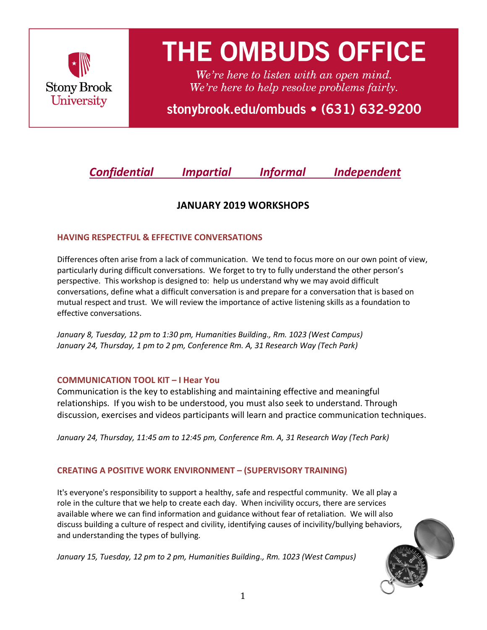

# **THE OMBUDS OFFICE**

We're here to listen with an open mind. We're here to help resolve problems fairly.

stonybrook.edu/ombuds • (631) 632-9200

*Confidential Impartial Informal Independent*

# **JANUARY 2019 WORKSHOPS**

### **HAVING RESPECTFUL & EFFECTIVE CONVERSATIONS**

Differences often arise from a lack of communication. We tend to focus more on our own point of view, particularly during difficult conversations. We forget to try to fully understand the other person's perspective. This workshop is designed to: help us understand why we may avoid difficult conversations, define what a difficult conversation is and prepare for a conversation that is based on mutual respect and trust. We will review the importance of active listening skills as a foundation to effective conversations.

*January 8, Tuesday, 12 pm to 1:30 pm, Humanities Building., Rm. 1023 (West Campus) January 24, Thursday, 1 pm to 2 pm, Conference Rm. A, 31 Research Way (Tech Park)*

#### **COMMUNICATION TOOL KIT – I Hear You**

Communication is the key to establishing and maintaining effective and meaningful relationships. If you wish to be understood, you must also seek to understand. Through discussion, exercises and videos participants will learn and practice communication techniques.

*January 24, Thursday, 11:45 am to 12:45 pm, Conference Rm. A, 31 Research Way (Tech Park)*

## **CREATING A POSITIVE WORK ENVIRONMENT – (SUPERVISORY TRAINING)**

It's everyone's responsibility to support a healthy, safe and respectful community. We all play a role in the culture that we help to create each day. When incivility occurs, there are services available where we can find information and guidance without fear of retaliation. We will also discuss building a culture of respect and civility, identifying causes of incivility/bullying behaviors, and understanding the types of bullying.

*January 15, Tuesday, 12 pm to 2 pm, Humanities Building., Rm. 1023 (West Campus)*